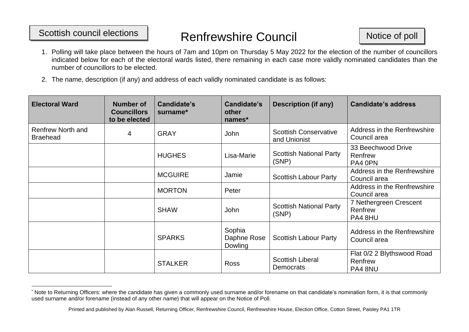## Scottish council elections Nenfrewshire Council Notice of poll

- 1. Polling will take place between the hours of 7am and 10pm on Thursday 5 May 2022 for the election of the number of councillors indicated below for each of the electoral wards listed, there remaining in each case more validly nominated candidates than the number of councillors to be elected.
- 2. The name, description (if any) and address of each validly nominated candidate is as follows:

| <b>Electoral Ward</b>                       | <b>Number of</b><br><b>Councillors</b><br>to be elected | Candidate's<br>surname* | Candidate's<br>other<br>names*   | <b>Description (if any)</b>                  | <b>Candidate's address</b>                       |
|---------------------------------------------|---------------------------------------------------------|-------------------------|----------------------------------|----------------------------------------------|--------------------------------------------------|
| <b>Renfrew North and</b><br><b>Braehead</b> | 4                                                       | <b>GRAY</b>             | John                             | <b>Scottish Conservative</b><br>and Unionist | Address in the Renfrewshire<br>Council area      |
|                                             |                                                         | <b>HUGHES</b>           | Lisa-Marie                       | <b>Scottish National Party</b><br>(SNP)      | 33 Beechwood Drive<br>Renfrew<br>PA4 0PN         |
|                                             |                                                         | <b>MCGUIRE</b>          | Jamie                            | <b>Scottish Labour Party</b>                 | Address in the Renfrewshire<br>Council area      |
|                                             |                                                         | <b>MORTON</b>           | Peter                            |                                              | Address in the Renfrewshire<br>Council area      |
|                                             |                                                         | <b>SHAW</b>             | <b>John</b>                      | <b>Scottish National Party</b><br>(SNP)      | 7 Nethergreen Crescent<br>Renfrew<br>PA4 8HU     |
|                                             |                                                         | <b>SPARKS</b>           | Sophia<br>Daphne Rose<br>Dowling | <b>Scottish Labour Party</b>                 | Address in the Renfrewshire<br>Council area      |
|                                             |                                                         | <b>STALKER</b>          | <b>Ross</b>                      | <b>Scottish Liberal</b><br>Democrats         | Flat 0/2 2 Blythswood Road<br>Renfrew<br>PA4 8NU |

<sup>\*</sup> Note to Returning Officers: where the candidate has given a commonly used surname and/or forename on that candidate's nomination form, it is that commonly used surname and/or forename (instead of any other name) that will appear on the Notice of Poll.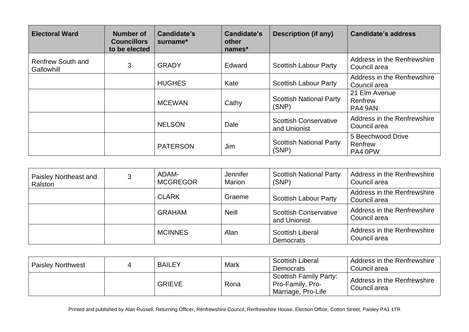| <b>Electoral Ward</b>                  | Number of<br><b>Councillors</b><br>to be elected | Candidate's<br>surname* | Candidate's<br>other<br>names* | <b>Description (if any)</b>                  | <b>Candidate's address</b>                  |
|----------------------------------------|--------------------------------------------------|-------------------------|--------------------------------|----------------------------------------------|---------------------------------------------|
| Renfrew South and<br><b>Gallowhill</b> | 3                                                | <b>GRADY</b>            | Edward                         | <b>Scottish Labour Party</b>                 | Address in the Renfrewshire<br>Council area |
|                                        |                                                  | <b>HUGHES</b>           | Kate                           | <b>Scottish Labour Party</b>                 | Address in the Renfrewshire<br>Council area |
|                                        |                                                  | <b>MCEWAN</b>           | Cathy                          | <b>Scottish National Party</b><br>(SNP)      | 21 Elm Avenue<br>Renfrew<br>PA4 9AN         |
|                                        |                                                  | <b>NELSON</b>           | Dale                           | <b>Scottish Conservative</b><br>and Unionist | Address in the Renfrewshire<br>Council area |
|                                        |                                                  | <b>PATERSON</b>         | Jim                            | <b>Scottish National Party</b><br>(SNP)      | 5 Beechwood Drive<br>Renfrew<br>PA4 0PW     |

| Paisley Northeast and<br>Ralston | 3 | ADAM-<br><b>MCGREGOR</b> | Jennifer<br>Marion | <b>Scottish National Party</b><br>(SNP)      | Address in the Renfrewshire<br>Council area |
|----------------------------------|---|--------------------------|--------------------|----------------------------------------------|---------------------------------------------|
|                                  |   | <b>CLARK</b>             | Graeme             | <b>Scottish Labour Party</b>                 | Address in the Renfrewshire<br>Council area |
|                                  |   | <b>GRAHAM</b>            | <b>Neill</b>       | <b>Scottish Conservative</b><br>and Unionist | Address in the Renfrewshire<br>Council area |
|                                  |   | <b>MCINNES</b>           | Alan               | <b>Scottish Liberal</b><br>Democrats         | Address in the Renfrewshire<br>Council area |

| <b>Paisley Northwest</b> | <b>BAILEY</b> | Mark | <b>Scottish Liberal</b><br>Democrats                             | Address in the Renfrewshire<br>Council area |
|--------------------------|---------------|------|------------------------------------------------------------------|---------------------------------------------|
|                          | <b>GRIEVE</b> | Rona | Scottish Family Party:<br>Pro-Family, Pro-<br>Marriage, Pro-Life | Address in the Renfrewshire<br>Council area |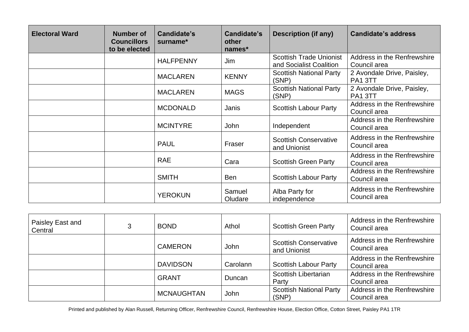| <b>Electoral Ward</b> | <b>Number of</b><br><b>Councillors</b><br>to be elected | Candidate's<br>surname* | Candidate's<br>other<br>names* | <b>Description (if any)</b>                               | <b>Candidate's address</b>                        |
|-----------------------|---------------------------------------------------------|-------------------------|--------------------------------|-----------------------------------------------------------|---------------------------------------------------|
|                       |                                                         | <b>HALFPENNY</b>        | Jim                            | <b>Scottish Trade Unionist</b><br>and Socialist Coalition | Address in the Renfrewshire<br>Council area       |
|                       |                                                         | <b>MACLAREN</b>         | <b>KENNY</b>                   | <b>Scottish National Party</b><br>(SNP)                   | 2 Avondale Drive, Paisley,<br>PA1 3TT             |
|                       |                                                         | <b>MACLAREN</b>         | <b>MAGS</b>                    | <b>Scottish National Party</b><br>(SNP)                   | 2 Avondale Drive, Paisley,<br>PA <sub>1</sub> 3TT |
|                       |                                                         | <b>MCDONALD</b>         | Janis                          | <b>Scottish Labour Party</b>                              | Address in the Renfrewshire<br>Council area       |
|                       |                                                         | <b>MCINTYRE</b>         | John                           | Independent                                               | Address in the Renfrewshire<br>Council area       |
|                       |                                                         | <b>PAUL</b>             | Fraser                         | <b>Scottish Conservative</b><br>and Unionist              | Address in the Renfrewshire<br>Council area       |
|                       |                                                         | <b>RAE</b>              | Cara                           | <b>Scottish Green Party</b>                               | Address in the Renfrewshire<br>Council area       |
|                       |                                                         | <b>SMITH</b>            | <b>Ben</b>                     | <b>Scottish Labour Party</b>                              | Address in the Renfrewshire<br>Council area       |
|                       |                                                         | <b>YEROKUN</b>          | Samuel<br>Oludare              | Alba Party for<br>independence                            | Address in the Renfrewshire<br>Council area       |

| Paisley East and<br>Central | 3 | <b>BOND</b>       | Athol    | <b>Scottish Green Party</b>                  | Address in the Renfrewshire<br>Council area |
|-----------------------------|---|-------------------|----------|----------------------------------------------|---------------------------------------------|
|                             |   | <b>CAMERON</b>    | John     | <b>Scottish Conservative</b><br>and Unionist | Address in the Renfrewshire<br>Council area |
|                             |   | <b>DAVIDSON</b>   | Carolann | <b>Scottish Labour Party</b>                 | Address in the Renfrewshire<br>Council area |
|                             |   | <b>GRANT</b>      | Duncan   | Scottish Libertarian<br>Party                | Address in the Renfrewshire<br>Council area |
|                             |   | <b>MCNAUGHTAN</b> | John     | <b>Scottish National Party</b><br>(SNP)      | Address in the Renfrewshire<br>Council area |

Printed and published by Alan Russell, Returning Officer, Renfrewshire Council, Renfrewshire House, Election Office, Cotton Street, Paisley PA1 1TR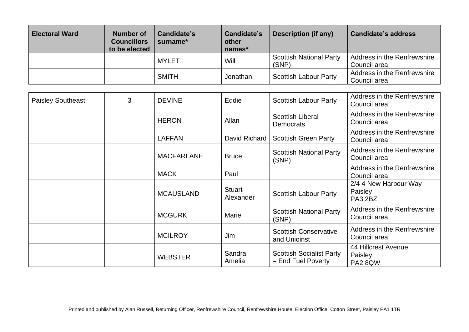| <b>Electoral Ward</b> | Number of<br><b>Councillors</b><br>to be elected | Candidate's<br>surname* | Candidate's<br>other<br>names* | Description (if any)                    | <b>Candidate's address</b>                  |
|-----------------------|--------------------------------------------------|-------------------------|--------------------------------|-----------------------------------------|---------------------------------------------|
|                       |                                                  | <b>MYLET</b>            | Will                           | <b>Scottish National Party</b><br>(SNP) | Address in the Renfrewshire<br>Council area |
|                       |                                                  | <b>SMITH</b>            | Jonathan                       | <b>Scottish Labour Party</b>            | Address in the Renfrewshire<br>Council area |

| <b>Paisley Southeast</b> | 3 | <b>DEVINE</b>     | Eddie                      | <b>Scottish Labour Party</b>                          | Address in the Renfrewshire<br>Council area      |
|--------------------------|---|-------------------|----------------------------|-------------------------------------------------------|--------------------------------------------------|
|                          |   | <b>HERON</b>      | Allan                      | <b>Scottish Liberal</b><br><b>Democrats</b>           | Address in the Renfrewshire<br>Council area      |
|                          |   | <b>LAFFAN</b>     | David Richard              | <b>Scottish Green Party</b>                           | Address in the Renfrewshire<br>Council area      |
|                          |   | <b>MACFARLANE</b> | <b>Bruce</b>               | <b>Scottish National Party</b><br>(SNP)               | Address in the Renfrewshire<br>Council area      |
|                          |   | <b>MACK</b>       | Paul                       |                                                       | Address in the Renfrewshire<br>Council area      |
|                          |   | <b>MCAUSLAND</b>  | <b>Stuart</b><br>Alexander | <b>Scottish Labour Party</b>                          | 2/4 4 New Harbour Way<br>Paisley<br>PA3 2BZ      |
|                          |   | <b>MCGURK</b>     | <b>Marie</b>               | <b>Scottish National Party</b><br>(SNP)               | Address in the Renfrewshire<br>Council area      |
|                          |   | <b>MCILROY</b>    | Jim                        | <b>Scottish Conservative</b><br>and Unioinst          | Address in the Renfrewshire<br>Council area      |
|                          |   | <b>WEBSTER</b>    | Sandra<br>Amelia           | <b>Scottish Socialist Party</b><br>- End Fuel Poverty | 44 Hillcrest Avenue<br>Paisley<br><b>PA2 8QW</b> |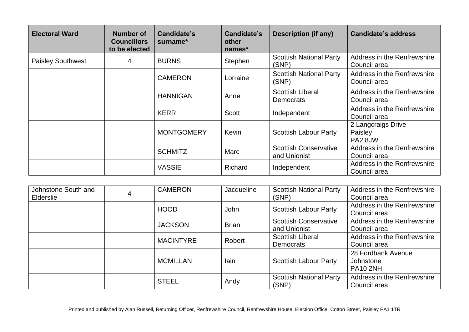| <b>Electoral Ward</b>    | Number of<br><b>Councillors</b><br>to be elected | Candidate's<br>surname* | Candidate's<br>other<br>names* | <b>Description (if any)</b>                  | Candidate's address                         |
|--------------------------|--------------------------------------------------|-------------------------|--------------------------------|----------------------------------------------|---------------------------------------------|
| <b>Paisley Southwest</b> | 4                                                | <b>BURNS</b>            | Stephen                        | <b>Scottish National Party</b><br>(SNP)      | Address in the Renfrewshire<br>Council area |
|                          |                                                  | <b>CAMERON</b>          | Lorraine                       | <b>Scottish National Party</b><br>(SNP)      | Address in the Renfrewshire<br>Council area |
|                          |                                                  | <b>HANNIGAN</b>         | Anne                           | <b>Scottish Liberal</b><br>Democrats         | Address in the Renfrewshire<br>Council area |
|                          |                                                  | <b>KERR</b>             | <b>Scott</b>                   | Independent                                  | Address in the Renfrewshire<br>Council area |
|                          |                                                  | <b>MONTGOMERY</b>       | Kevin                          | <b>Scottish Labour Party</b>                 | 2 Langcraigs Drive<br>Paisley<br>PA2 8JW    |
|                          |                                                  | <b>SCHMITZ</b>          | Marc                           | <b>Scottish Conservative</b><br>and Unionist | Address in the Renfrewshire<br>Council area |
|                          |                                                  | <b>VASSIE</b>           | Richard                        | Independent                                  | Address in the Renfrewshire<br>Council area |

| Johnstone South and<br>Elderslie | 4 | <b>CAMERON</b>   | Jacqueline   | <b>Scottish National Party</b><br>(SNP)      | Address in the Renfrewshire<br>Council area        |
|----------------------------------|---|------------------|--------------|----------------------------------------------|----------------------------------------------------|
|                                  |   | <b>HOOD</b>      | John         | <b>Scottish Labour Party</b>                 | Address in the Renfrewshire<br>Council area        |
|                                  |   | <b>JACKSON</b>   | <b>Brian</b> | <b>Scottish Conservative</b><br>and Unionist | Address in the Renfrewshire<br>Council area        |
|                                  |   | <b>MACINTYRE</b> | Robert       | <b>Scottish Liberal</b><br>Democrats         | Address in the Renfrewshire<br>Council area        |
|                                  |   | <b>MCMILLAN</b>  | lain         | <b>Scottish Labour Party</b>                 | 28 Fordbank Avenue<br>Johnstone<br><b>PA10 2NH</b> |
|                                  |   | <b>STEEL</b>     | Andy         | <b>Scottish National Party</b><br>(SNP)      | Address in the Renfrewshire<br>Council area        |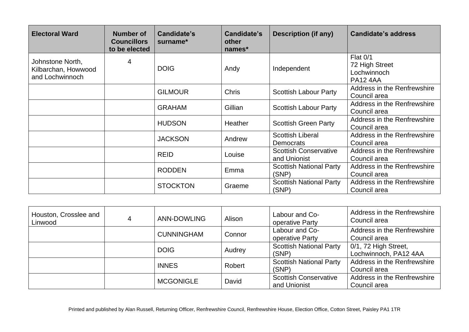| <b>Electoral Ward</b>                                      | <b>Number of</b><br><b>Councillors</b><br>to be elected | <b>Candidate's</b><br>surname* | Candidate's<br>other<br>names* | <b>Description (if any)</b>                  | <b>Candidate's address</b>                                          |
|------------------------------------------------------------|---------------------------------------------------------|--------------------------------|--------------------------------|----------------------------------------------|---------------------------------------------------------------------|
| Johnstone North,<br>Kilbarchan, Howwood<br>and Lochwinnoch | 4                                                       | <b>DOIG</b>                    | Andy                           | Independent                                  | <b>Flat 0/1</b><br>72 High Street<br>Lochwinnoch<br><b>PA12 4AA</b> |
|                                                            |                                                         | <b>GILMOUR</b>                 | <b>Chris</b>                   | <b>Scottish Labour Party</b>                 | Address in the Renfrewshire<br>Council area                         |
|                                                            |                                                         | <b>GRAHAM</b>                  | Gillian                        | <b>Scottish Labour Party</b>                 | Address in the Renfrewshire<br>Council area                         |
|                                                            |                                                         | <b>HUDSON</b>                  | Heather                        | <b>Scottish Green Party</b>                  | Address in the Renfrewshire<br>Council area                         |
|                                                            |                                                         | <b>JACKSON</b>                 | Andrew                         | <b>Scottish Liberal</b><br><b>Democrats</b>  | Address in the Renfrewshire<br>Council area                         |
|                                                            |                                                         | <b>REID</b>                    | Louise                         | <b>Scottish Conservative</b><br>and Unionist | Address in the Renfrewshire<br>Council area                         |
|                                                            |                                                         | <b>RODDEN</b>                  | Emma                           | <b>Scottish National Party</b><br>(SNP)      | Address in the Renfrewshire<br>Council area                         |
|                                                            |                                                         | <b>STOCKTON</b>                | Graeme                         | <b>Scottish National Party</b><br>(SNP)      | Address in the Renfrewshire<br>Council area                         |

| Houston, Crosslee and<br>Linwood | 4 | <b>ANN-DOWLING</b> | Alison | Labour and Co-<br>operative Party            | Address in the Renfrewshire<br>Council area   |
|----------------------------------|---|--------------------|--------|----------------------------------------------|-----------------------------------------------|
|                                  |   | <b>CUNNINGHAM</b>  | Connor | Labour and Co-<br>operative Party            | Address in the Renfrewshire<br>Council area   |
|                                  |   | <b>DOIG</b>        | Audrey | <b>Scottish National Party</b><br>(SNP)      | 0/1, 72 High Street,<br>Lochwinnoch, PA12 4AA |
|                                  |   | <b>INNES</b>       | Robert | <b>Scottish National Party</b><br>(SNP)      | Address in the Renfrewshire<br>Council area   |
|                                  |   | <b>MCGONIGLE</b>   | David  | <b>Scottish Conservative</b><br>and Unionist | Address in the Renfrewshire<br>Council area   |